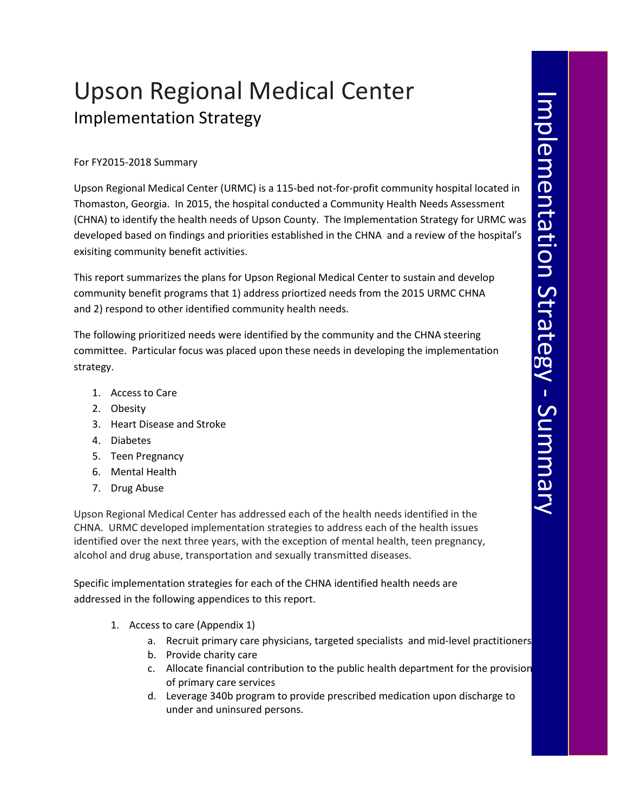## Upson Regional Medical Center Implementation Strategy

## For FY2015-2018 Summary

Upson Regional Medical Center (URMC) is a 115-bed not-for-profit community hospital located in Thomaston, Georgia. In 2015, the hospital conducted a Community Health Needs Assessment (CHNA) to identify the health needs of Upson County. The Implementation Strategy for URMC was developed based on findings and priorities established in the CHNA and a review of the hospital's exisiting community benefit activities.

This report summarizes the plans for Upson Regional Medical Center to sustain and develop community benefit programs that 1) address priortized needs from the 2015 URMC CHNA and 2) respond to other identified community health needs.

The following prioritized needs were identified by the community and the CHNA steering committee. Particular focus was placed upon these needs in developing the implementation strategy.

- 1. Access to Care
- 2. Obesity
- 3. Heart Disease and Stroke
- 4. Diabetes
- 5. Teen Pregnancy
- 6. Mental Health
- 7. Drug Abuse

Upson Regional Medical Center has addressed each of the health needs identified in the CHNA. URMC developed implementation strategies to address each of the health issues identified over the next three years, with the exception of mental health, teen pregnancy, alcohol and drug abuse, transportation and sexually transmitted diseases.

Specific implementation strategies for each of the CHNA identified health needs are addressed in the following appendices to this report.

- 1. Access to care (Appendix 1)
	- a. Recruit primary care physicians, targeted specialists and mid-level practitioners
	- b. Provide charity care
	- c. Allocate financial contribution to the public health department for the provision of primary care services
	- d. Leverage 340b program to provide prescribed medication upon discharge to under and uninsured persons.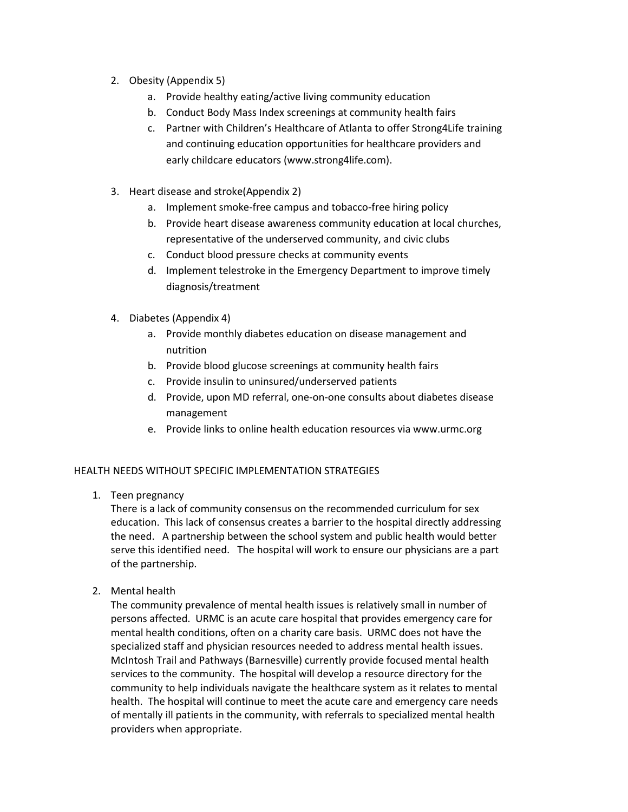- 2. Obesity (Appendix 5)
	- a. Provide healthy eating/active living community education
	- b. Conduct Body Mass Index screenings at community health fairs
	- c. Partner with Children's Healthcare of Atlanta to offer Strong4Life training and continuing education opportunities for healthcare providers and early childcare educators (www.strong4life.com).
- 3. Heart disease and stroke(Appendix 2)
	- a. Implement smoke-free campus and tobacco-free hiring policy
	- b. Provide heart disease awareness community education at local churches, representative of the underserved community, and civic clubs
	- c. Conduct blood pressure checks at community events
	- d. Implement telestroke in the Emergency Department to improve timely diagnosis/treatment
- 4. Diabetes (Appendix 4)
	- a. Provide monthly diabetes education on disease management and nutrition
	- b. Provide blood glucose screenings at community health fairs
	- c. Provide insulin to uninsured/underserved patients
	- d. Provide, upon MD referral, one-on-one consults about diabetes disease management
	- e. Provide links to online health education resources via www.urmc.org

## HEALTH NEEDS WITHOUT SPECIFIC IMPLEMENTATION STRATEGIES

1. Teen pregnancy

There is a lack of community consensus on the recommended curriculum for sex education. This lack of consensus creates a barrier to the hospital directly addressing the need. A partnership between the school system and public health would better serve this identified need. The hospital will work to ensure our physicians are a part of the partnership.

2. Mental health

The community prevalence of mental health issues is relatively small in number of persons affected. URMC is an acute care hospital that provides emergency care for mental health conditions, often on a charity care basis. URMC does not have the specialized staff and physician resources needed to address mental health issues. McIntosh Trail and Pathways (Barnesville) currently provide focused mental health services to the community. The hospital will develop a resource directory for the community to help individuals navigate the healthcare system as it relates to mental health. The hospital will continue to meet the acute care and emergency care needs of mentally ill patients in the community, with referrals to specialized mental health providers when appropriate.